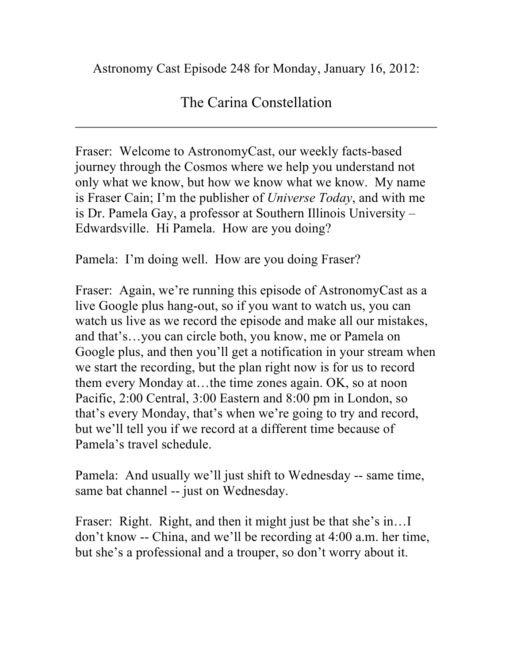Astronomy Cast Episode 248 for Monday, January 16, 2012:

## The Carina Constellation

 $\overline{\mathcal{L}}$  , and the contribution of the contribution of the contribution of the contribution of the contribution of the contribution of the contribution of the contribution of the contribution of the contribution of the

Fraser: Welcome to AstronomyCast, our weekly facts-based journey through the Cosmos where we help you understand not only what we know, but how we know what we know. My name is Fraser Cain; I'm the publisher of *Universe Today*, and with me is Dr. Pamela Gay, a professor at Southern Illinois University – Edwardsville. Hi Pamela. How are you doing?

Pamela: I'm doing well. How are you doing Fraser?

Fraser: Again, we're running this episode of AstronomyCast as a live Google plus hang-out, so if you want to watch us, you can watch us live as we record the episode and make all our mistakes, and that's…you can circle both, you know, me or Pamela on Google plus, and then you'll get a notification in your stream when we start the recording, but the plan right now is for us to record them every Monday at…the time zones again. OK, so at noon Pacific, 2:00 Central, 3:00 Eastern and 8:00 pm in London, so that's every Monday, that's when we're going to try and record, but we'll tell you if we record at a different time because of Pamela's travel schedule.

Pamela: And usually we'll just shift to Wednesday -- same time, same bat channel -- just on Wednesday.

Fraser: Right. Right, and then it might just be that she's in... don't know -- China, and we'll be recording at 4:00 a.m. her time, but she's a professional and a trouper, so don't worry about it.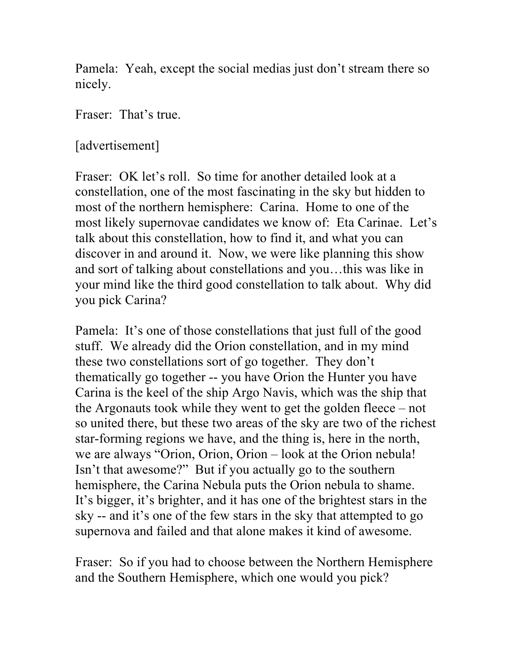Pamela: Yeah, except the social medias just don't stream there so nicely.

Fraser: That's true.

[advertisement]

Fraser: OK let's roll. So time for another detailed look at a constellation, one of the most fascinating in the sky but hidden to most of the northern hemisphere: Carina. Home to one of the most likely supernovae candidates we know of: Eta Carinae. Let's talk about this constellation, how to find it, and what you can discover in and around it. Now, we were like planning this show and sort of talking about constellations and you…this was like in your mind like the third good constellation to talk about. Why did you pick Carina?

Pamela: It's one of those constellations that just full of the good stuff. We already did the Orion constellation, and in my mind these two constellations sort of go together. They don't thematically go together -- you have Orion the Hunter you have Carina is the keel of the ship Argo Navis, which was the ship that the Argonauts took while they went to get the golden fleece – not so united there, but these two areas of the sky are two of the richest star-forming regions we have, and the thing is, here in the north, we are always "Orion, Orion, Orion – look at the Orion nebula! Isn't that awesome?" But if you actually go to the southern hemisphere, the Carina Nebula puts the Orion nebula to shame. It's bigger, it's brighter, and it has one of the brightest stars in the sky -- and it's one of the few stars in the sky that attempted to go supernova and failed and that alone makes it kind of awesome.

Fraser: So if you had to choose between the Northern Hemisphere and the Southern Hemisphere, which one would you pick?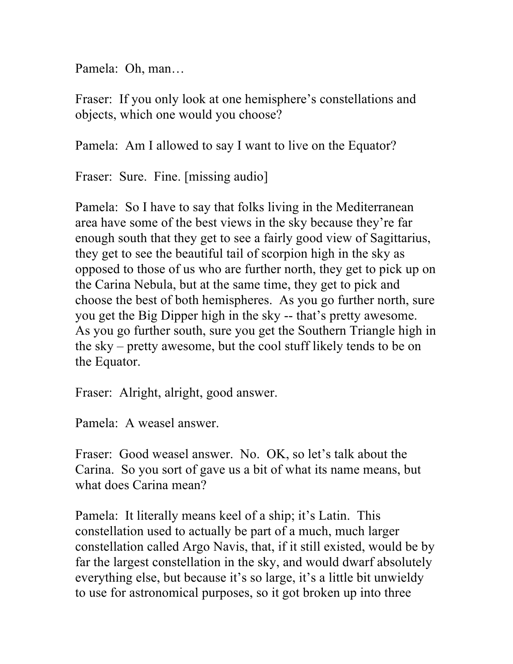Pamela: Oh, man…

Fraser: If you only look at one hemisphere's constellations and objects, which one would you choose?

Pamela: Am I allowed to say I want to live on the Equator?

Fraser: Sure. Fine. [missing audio]

Pamela: So I have to say that folks living in the Mediterranean area have some of the best views in the sky because they're far enough south that they get to see a fairly good view of Sagittarius, they get to see the beautiful tail of scorpion high in the sky as opposed to those of us who are further north, they get to pick up on the Carina Nebula, but at the same time, they get to pick and choose the best of both hemispheres. As you go further north, sure you get the Big Dipper high in the sky -- that's pretty awesome. As you go further south, sure you get the Southern Triangle high in the sky – pretty awesome, but the cool stuff likely tends to be on the Equator.

Fraser: Alright, alright, good answer.

Pamela: A weasel answer.

Fraser: Good weasel answer. No. OK, so let's talk about the Carina. So you sort of gave us a bit of what its name means, but what does Carina mean?

Pamela: It literally means keel of a ship; it's Latin. This constellation used to actually be part of a much, much larger constellation called Argo Navis, that, if it still existed, would be by far the largest constellation in the sky, and would dwarf absolutely everything else, but because it's so large, it's a little bit unwieldy to use for astronomical purposes, so it got broken up into three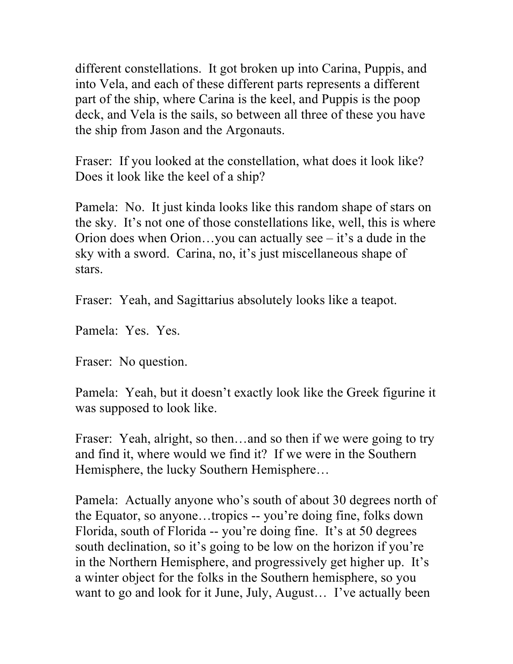different constellations. It got broken up into Carina, Puppis, and into Vela, and each of these different parts represents a different part of the ship, where Carina is the keel, and Puppis is the poop deck, and Vela is the sails, so between all three of these you have the ship from Jason and the Argonauts.

Fraser: If you looked at the constellation, what does it look like? Does it look like the keel of a ship?

Pamela: No. It just kinda looks like this random shape of stars on the sky. It's not one of those constellations like, well, this is where Orion does when Orion…you can actually see – it's a dude in the sky with a sword. Carina, no, it's just miscellaneous shape of stars.

Fraser: Yeah, and Sagittarius absolutely looks like a teapot.

Pamela: Yes. Yes.

Fraser: No question.

Pamela: Yeah, but it doesn't exactly look like the Greek figurine it was supposed to look like.

Fraser: Yeah, alright, so then...and so then if we were going to try and find it, where would we find it? If we were in the Southern Hemisphere, the lucky Southern Hemisphere…

Pamela: Actually anyone who's south of about 30 degrees north of the Equator, so anyone…tropics -- you're doing fine, folks down Florida, south of Florida -- you're doing fine. It's at 50 degrees south declination, so it's going to be low on the horizon if you're in the Northern Hemisphere, and progressively get higher up. It's a winter object for the folks in the Southern hemisphere, so you want to go and look for it June, July, August… I've actually been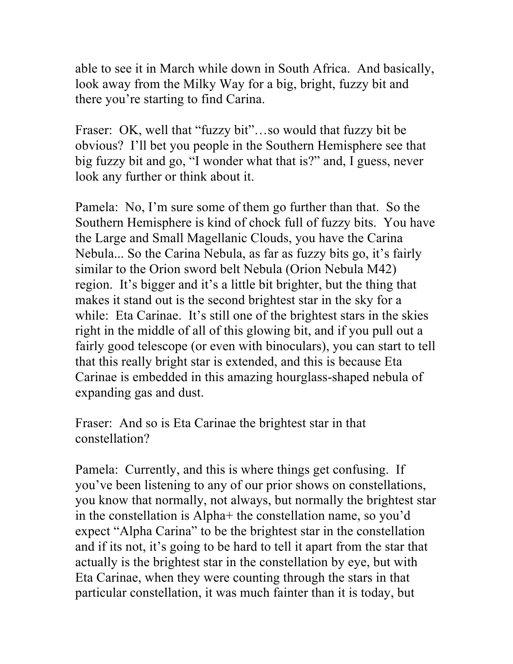able to see it in March while down in South Africa. And basically, look away from the Milky Way for a big, bright, fuzzy bit and there you're starting to find Carina.

Fraser: OK, well that "fuzzy bit"...so would that fuzzy bit be obvious? I'll bet you people in the Southern Hemisphere see that big fuzzy bit and go, "I wonder what that is?" and, I guess, never look any further or think about it.

Pamela: No, I'm sure some of them go further than that. So the Southern Hemisphere is kind of chock full of fuzzy bits. You have the Large and Small Magellanic Clouds, you have the Carina Nebula... So the Carina Nebula, as far as fuzzy bits go, it's fairly similar to the Orion sword belt Nebula (Orion Nebula M42) region. It's bigger and it's a little bit brighter, but the thing that makes it stand out is the second brightest star in the sky for a while: Eta Carinae. It's still one of the brightest stars in the skies right in the middle of all of this glowing bit, and if you pull out a fairly good telescope (or even with binoculars), you can start to tell that this really bright star is extended, and this is because Eta Carinae is embedded in this amazing hourglass-shaped nebula of expanding gas and dust.

Fraser: And so is Eta Carinae the brightest star in that constellation?

Pamela: Currently, and this is where things get confusing. If you've been listening to any of our prior shows on constellations, you know that normally, not always, but normally the brightest star in the constellation is Alpha+ the constellation name, so you'd expect "Alpha Carina" to be the brightest star in the constellation and if its not, it's going to be hard to tell it apart from the star that actually is the brightest star in the constellation by eye, but with Eta Carinae, when they were counting through the stars in that particular constellation, it was much fainter than it is today, but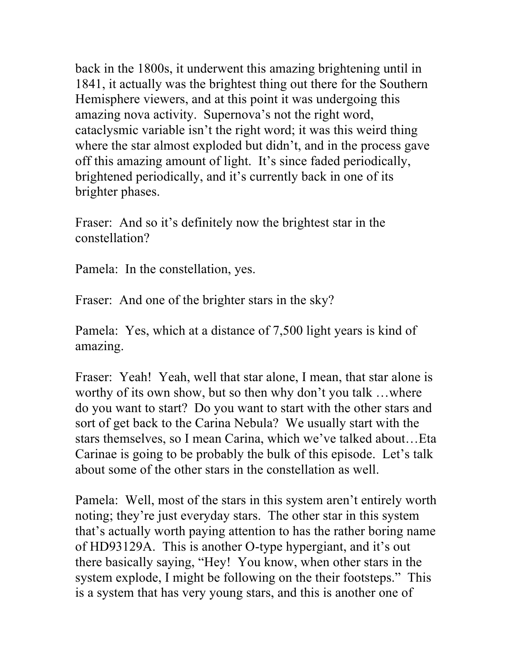back in the 1800s, it underwent this amazing brightening until in 1841, it actually was the brightest thing out there for the Southern Hemisphere viewers, and at this point it was undergoing this amazing nova activity. Supernova's not the right word, cataclysmic variable isn't the right word; it was this weird thing where the star almost exploded but didn't, and in the process gave off this amazing amount of light. It's since faded periodically, brightened periodically, and it's currently back in one of its brighter phases.

Fraser: And so it's definitely now the brightest star in the constellation?

Pamela: In the constellation, yes.

Fraser: And one of the brighter stars in the sky?

Pamela: Yes, which at a distance of 7,500 light years is kind of amazing.

Fraser: Yeah! Yeah, well that star alone, I mean, that star alone is worthy of its own show, but so then why don't you talk …where do you want to start? Do you want to start with the other stars and sort of get back to the Carina Nebula? We usually start with the stars themselves, so I mean Carina, which we've talked about…Eta Carinae is going to be probably the bulk of this episode. Let's talk about some of the other stars in the constellation as well.

Pamela: Well, most of the stars in this system aren't entirely worth noting; they're just everyday stars. The other star in this system that's actually worth paying attention to has the rather boring name of HD93129A. This is another O-type hypergiant, and it's out there basically saying, "Hey! You know, when other stars in the system explode, I might be following on the their footsteps." This is a system that has very young stars, and this is another one of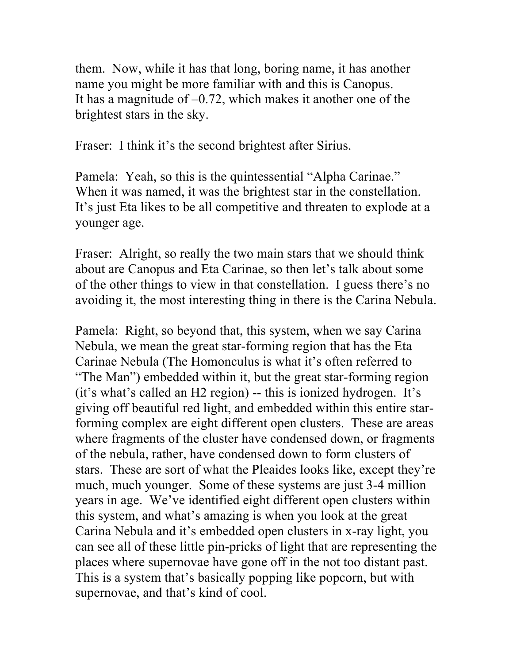them. Now, while it has that long, boring name, it has another name you might be more familiar with and this is Canopus. It has a magnitude of  $-0.72$ , which makes it another one of the brightest stars in the sky.

Fraser: I think it's the second brightest after Sirius.

Pamela: Yeah, so this is the quintessential "Alpha Carinae." When it was named, it was the brightest star in the constellation. It's just Eta likes to be all competitive and threaten to explode at a younger age.

Fraser: Alright, so really the two main stars that we should think about are Canopus and Eta Carinae, so then let's talk about some of the other things to view in that constellation. I guess there's no avoiding it, the most interesting thing in there is the Carina Nebula.

Pamela: Right, so beyond that, this system, when we say Carina Nebula, we mean the great star-forming region that has the Eta Carinae Nebula (The Homonculus is what it's often referred to "The Man") embedded within it, but the great star-forming region (it's what's called an H2 region) -- this is ionized hydrogen. It's giving off beautiful red light, and embedded within this entire starforming complex are eight different open clusters. These are areas where fragments of the cluster have condensed down, or fragments of the nebula, rather, have condensed down to form clusters of stars. These are sort of what the Pleaides looks like, except they're much, much younger. Some of these systems are just 3-4 million years in age. We've identified eight different open clusters within this system, and what's amazing is when you look at the great Carina Nebula and it's embedded open clusters in x-ray light, you can see all of these little pin-pricks of light that are representing the places where supernovae have gone off in the not too distant past. This is a system that's basically popping like popcorn, but with supernovae, and that's kind of cool.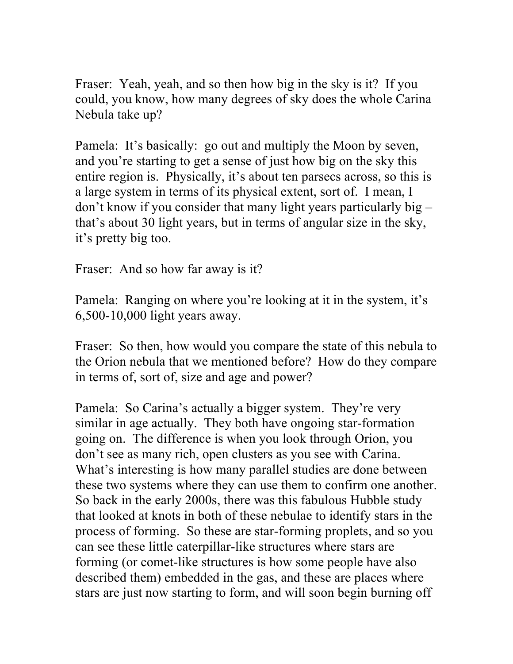Fraser: Yeah, yeah, and so then how big in the sky is it? If you could, you know, how many degrees of sky does the whole Carina Nebula take up?

Pamela: It's basically: go out and multiply the Moon by seven, and you're starting to get a sense of just how big on the sky this entire region is. Physically, it's about ten parsecs across, so this is a large system in terms of its physical extent, sort of. I mean, I don't know if you consider that many light years particularly big – that's about 30 light years, but in terms of angular size in the sky, it's pretty big too.

Fraser: And so how far away is it?

Pamela: Ranging on where you're looking at it in the system, it's 6,500-10,000 light years away.

Fraser: So then, how would you compare the state of this nebula to the Orion nebula that we mentioned before? How do they compare in terms of, sort of, size and age and power?

Pamela: So Carina's actually a bigger system. They're very similar in age actually. They both have ongoing star-formation going on. The difference is when you look through Orion, you don't see as many rich, open clusters as you see with Carina. What's interesting is how many parallel studies are done between these two systems where they can use them to confirm one another. So back in the early 2000s, there was this fabulous Hubble study that looked at knots in both of these nebulae to identify stars in the process of forming. So these are star-forming proplets, and so you can see these little caterpillar-like structures where stars are forming (or comet-like structures is how some people have also described them) embedded in the gas, and these are places where stars are just now starting to form, and will soon begin burning off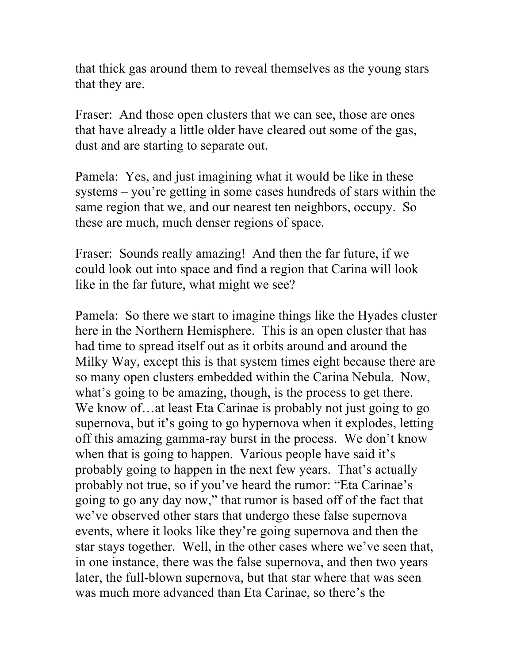that thick gas around them to reveal themselves as the young stars that they are.

Fraser: And those open clusters that we can see, those are ones that have already a little older have cleared out some of the gas, dust and are starting to separate out.

Pamela: Yes, and just imagining what it would be like in these systems – you're getting in some cases hundreds of stars within the same region that we, and our nearest ten neighbors, occupy. So these are much, much denser regions of space.

Fraser: Sounds really amazing! And then the far future, if we could look out into space and find a region that Carina will look like in the far future, what might we see?

Pamela: So there we start to imagine things like the Hyades cluster here in the Northern Hemisphere. This is an open cluster that has had time to spread itself out as it orbits around and around the Milky Way, except this is that system times eight because there are so many open clusters embedded within the Carina Nebula. Now, what's going to be amazing, though, is the process to get there. We know of...at least Eta Carinae is probably not just going to go supernova, but it's going to go hypernova when it explodes, letting off this amazing gamma-ray burst in the process. We don't know when that is going to happen. Various people have said it's probably going to happen in the next few years. That's actually probably not true, so if you've heard the rumor: "Eta Carinae's going to go any day now," that rumor is based off of the fact that we've observed other stars that undergo these false supernova events, where it looks like they're going supernova and then the star stays together. Well, in the other cases where we've seen that, in one instance, there was the false supernova, and then two years later, the full-blown supernova, but that star where that was seen was much more advanced than Eta Carinae, so there's the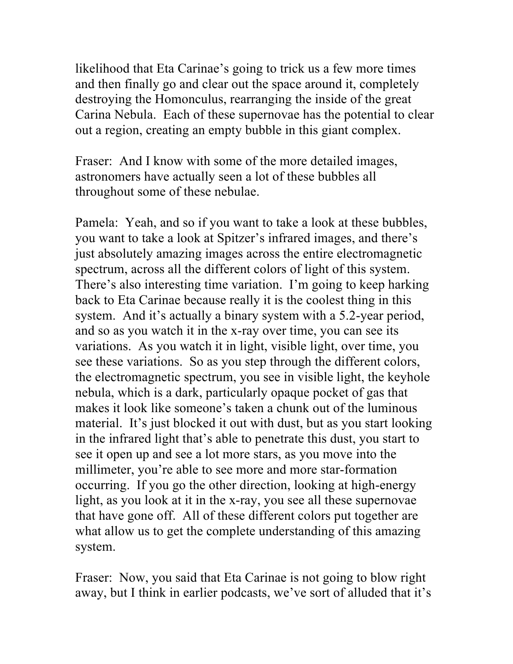likelihood that Eta Carinae's going to trick us a few more times and then finally go and clear out the space around it, completely destroying the Homonculus, rearranging the inside of the great Carina Nebula. Each of these supernovae has the potential to clear out a region, creating an empty bubble in this giant complex.

Fraser: And I know with some of the more detailed images, astronomers have actually seen a lot of these bubbles all throughout some of these nebulae.

Pamela: Yeah, and so if you want to take a look at these bubbles, you want to take a look at Spitzer's infrared images, and there's just absolutely amazing images across the entire electromagnetic spectrum, across all the different colors of light of this system. There's also interesting time variation. I'm going to keep harking back to Eta Carinae because really it is the coolest thing in this system. And it's actually a binary system with a 5.2-year period, and so as you watch it in the x-ray over time, you can see its variations. As you watch it in light, visible light, over time, you see these variations. So as you step through the different colors, the electromagnetic spectrum, you see in visible light, the keyhole nebula, which is a dark, particularly opaque pocket of gas that makes it look like someone's taken a chunk out of the luminous material. It's just blocked it out with dust, but as you start looking in the infrared light that's able to penetrate this dust, you start to see it open up and see a lot more stars, as you move into the millimeter, you're able to see more and more star-formation occurring. If you go the other direction, looking at high-energy light, as you look at it in the x-ray, you see all these supernovae that have gone off. All of these different colors put together are what allow us to get the complete understanding of this amazing system.

Fraser: Now, you said that Eta Carinae is not going to blow right away, but I think in earlier podcasts, we've sort of alluded that it's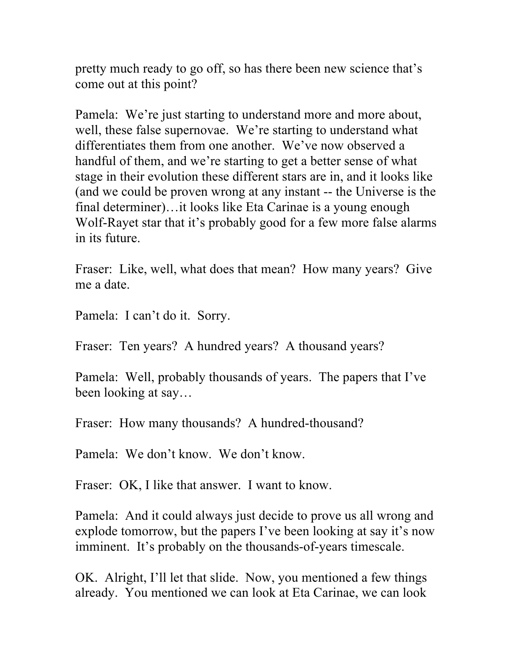pretty much ready to go off, so has there been new science that's come out at this point?

Pamela: We're just starting to understand more and more about, well, these false supernovae. We're starting to understand what differentiates them from one another. We've now observed a handful of them, and we're starting to get a better sense of what stage in their evolution these different stars are in, and it looks like (and we could be proven wrong at any instant -- the Universe is the final determiner)…it looks like Eta Carinae is a young enough Wolf-Rayet star that it's probably good for a few more false alarms in its future.

Fraser: Like, well, what does that mean? How many years? Give me a date.

Pamela: I can't do it. Sorry.

Fraser: Ten years? A hundred years? A thousand years?

Pamela: Well, probably thousands of years. The papers that I've been looking at say…

Fraser: How many thousands? A hundred-thousand?

Pamela: We don't know. We don't know.

Fraser: OK, I like that answer. I want to know.

Pamela: And it could always just decide to prove us all wrong and explode tomorrow, but the papers I've been looking at say it's now imminent. It's probably on the thousands-of-years timescale.

OK. Alright, I'll let that slide. Now, you mentioned a few things already. You mentioned we can look at Eta Carinae, we can look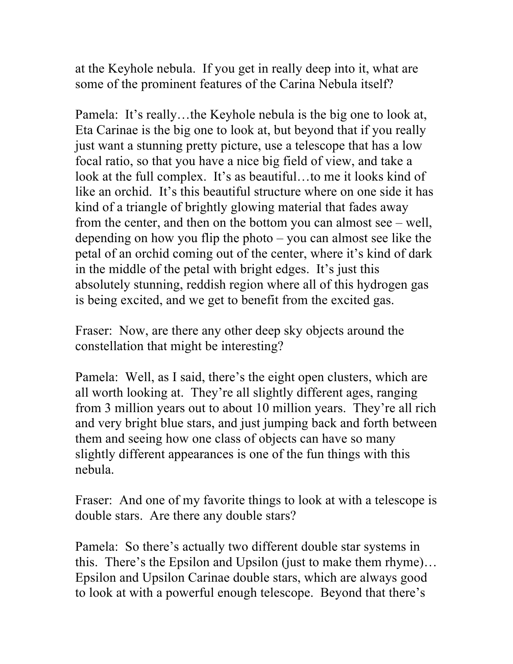at the Keyhole nebula. If you get in really deep into it, what are some of the prominent features of the Carina Nebula itself?

Pamela: It's really…the Keyhole nebula is the big one to look at, Eta Carinae is the big one to look at, but beyond that if you really just want a stunning pretty picture, use a telescope that has a low focal ratio, so that you have a nice big field of view, and take a look at the full complex. It's as beautiful...to me it looks kind of like an orchid. It's this beautiful structure where on one side it has kind of a triangle of brightly glowing material that fades away from the center, and then on the bottom you can almost see – well, depending on how you flip the photo – you can almost see like the petal of an orchid coming out of the center, where it's kind of dark in the middle of the petal with bright edges. It's just this absolutely stunning, reddish region where all of this hydrogen gas is being excited, and we get to benefit from the excited gas.

Fraser: Now, are there any other deep sky objects around the constellation that might be interesting?

Pamela: Well, as I said, there's the eight open clusters, which are all worth looking at. They're all slightly different ages, ranging from 3 million years out to about 10 million years. They're all rich and very bright blue stars, and just jumping back and forth between them and seeing how one class of objects can have so many slightly different appearances is one of the fun things with this nebula.

Fraser: And one of my favorite things to look at with a telescope is double stars. Are there any double stars?

Pamela: So there's actually two different double star systems in this. There's the Epsilon and Upsilon (just to make them rhyme)… Epsilon and Upsilon Carinae double stars, which are always good to look at with a powerful enough telescope. Beyond that there's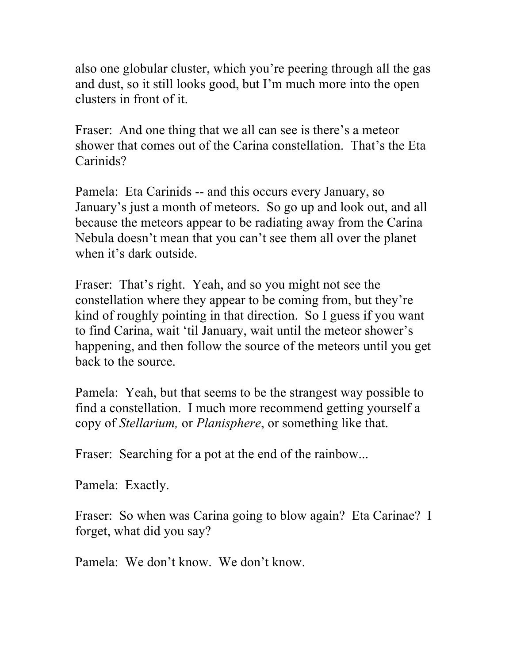also one globular cluster, which you're peering through all the gas and dust, so it still looks good, but I'm much more into the open clusters in front of it.

Fraser: And one thing that we all can see is there's a meteor shower that comes out of the Carina constellation. That's the Eta Carinids?

Pamela: Eta Carinids -- and this occurs every January, so January's just a month of meteors. So go up and look out, and all because the meteors appear to be radiating away from the Carina Nebula doesn't mean that you can't see them all over the planet when it's dark outside.

Fraser: That's right. Yeah, and so you might not see the constellation where they appear to be coming from, but they're kind of roughly pointing in that direction. So I guess if you want to find Carina, wait 'til January, wait until the meteor shower's happening, and then follow the source of the meteors until you get back to the source.

Pamela: Yeah, but that seems to be the strangest way possible to find a constellation. I much more recommend getting yourself a copy of *Stellarium,* or *Planisphere*, or something like that.

Fraser: Searching for a pot at the end of the rainbow...

Pamela: Exactly.

Fraser: So when was Carina going to blow again? Eta Carinae? I forget, what did you say?

Pamela: We don't know. We don't know.